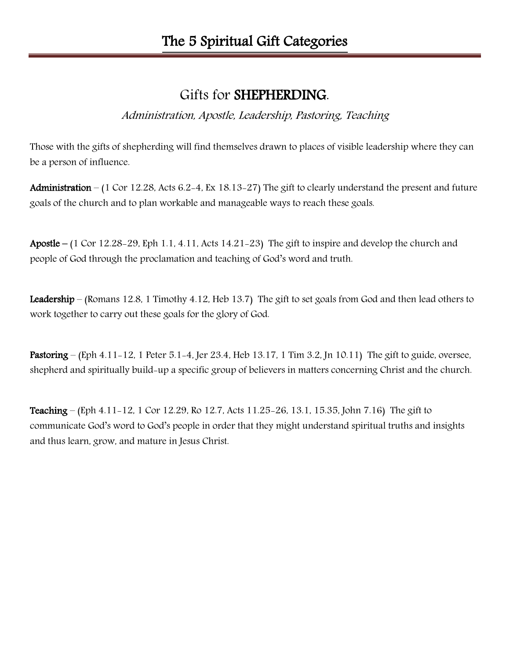## Gifts for SHEPHERDING.

Administration, Apostle, Leadership, Pastoring, Teaching

Those with the gifts of shepherding will find themselves drawn to places of visible leadership where they can be a person of influence.

Administration – (1 Cor 12.28, Acts 6.2-4, Ex 18.13-27) The gift to clearly understand the present and future goals of the church and to plan workable and manageable ways to reach these goals.

Apostle – (1 Cor 12.28-29, Eph 1.1, 4.11, Acts 14.21-23) The gift to inspire and develop the church and people of God through the proclamation and teaching of God's word and truth.

Leadership – (Romans 12.8, 1 Timothy 4.12, Heb 13.7) The gift to set goals from God and then lead others to work together to carry out these goals for the glory of God.

Pastoring – (Eph 4.11-12, 1 Peter 5.1-4, Jer 23.4, Heb 13.17, 1 Tim 3.2, Jn 10.11) The gift to guide, oversee, shepherd and spiritually build-up a specific group of believers in matters concerning Christ and the church.

Teaching – (Eph 4.11-12, 1 Cor 12.29, Ro 12.7, Acts 11.25-26, 13.1, 15.35, John 7.16) The gift to communicate God's word to God's people in order that they might understand spiritual truths and insights and thus learn, grow, and mature in Jesus Christ.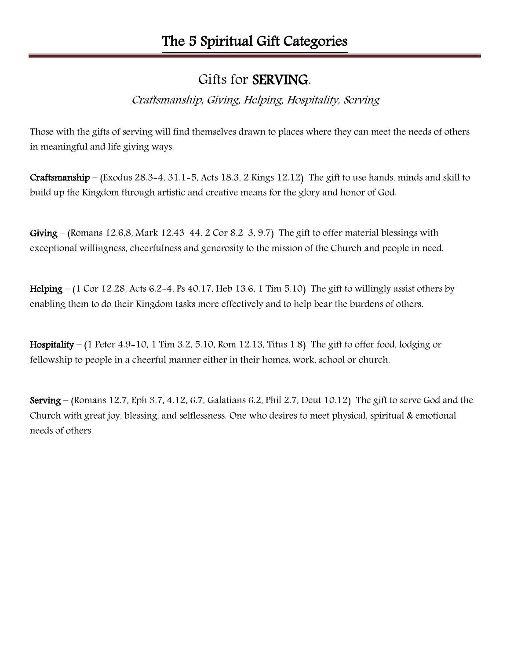## Gifts for SERVING.

### Craftsmanship, Giving, Helping, Hospitality, Serving

Those with the gifts of serving will find themselves drawn to places where they can meet the needs of others in meaningful and life giving ways.

Craftsmanship – (Exodus 28.3-4, 31.1-5, Acts 18.3, 2 Kings 12.12) The gift to use hands, minds and skill to build up the Kingdom through artistic and creative means for the glory and honor of God.

Giving – (Romans 12.6,8, Mark 12.43-44, 2 Cor 8.2-3, 9.7) The gift to offer material blessings with exceptional willingness, cheerfulness and generosity to the mission of the Church and people in need.

Helping – (1 Cor 12.28, Acts 6.2-4, Ps 40.17, Heb 13.6, 1 Tim 5.10) The gift to willingly assist others by enabling them to do their Kingdom tasks more effectively and to help bear the burdens of others.

Hospitality – (1 Peter 4.9-10, 1 Tim 3.2, 5.10, Rom 12.13, Titus 1.8) The gift to offer food, lodging or fellowship to people in a cheerful manner either in their homes, work, school or church.

Serving – (Romans 12.7, Eph 3.7, 4.12, 6.7, Galatians 6.2, Phil 2.7, Deut 10.12) The gift to serve God and the Church with great joy, blessing, and selflessness. One who desires to meet physical, spiritual & emotional needs of others.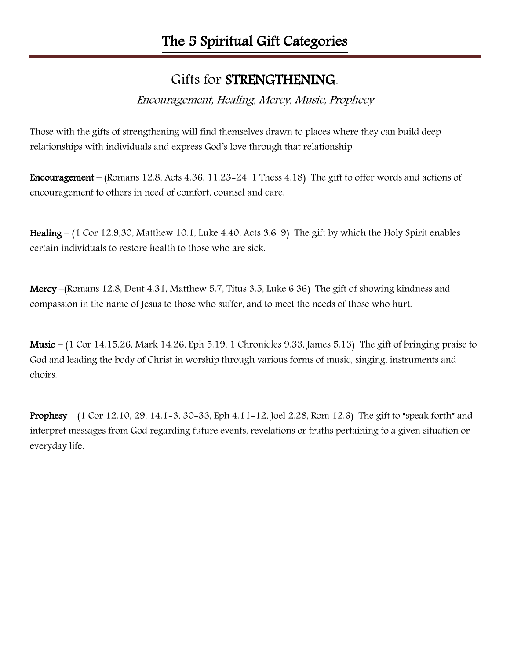## Gifts for STRENGTHENING.

#### Encouragement, Healing, Mercy, Music, Prophecy

Those with the gifts of strengthening will find themselves drawn to places where they can build deep relationships with individuals and express God's love through that relationship.

Encouragement – (Romans 12.8, Acts 4.36, 11.23-24, 1 Thess 4.18) The gift to offer words and actions of encouragement to others in need of comfort, counsel and care.

Healing – (1 Cor 12.9,30, Matthew 10.1, Luke 4.40, Acts 3.6-9) The gift by which the Holy Spirit enables certain individuals to restore health to those who are sick.

Mercy –(Romans 12.8, Deut 4.31, Matthew 5.7, Titus 3.5, Luke 6.36) The gift of showing kindness and compassion in the name of Jesus to those who suffer, and to meet the needs of those who hurt.

Music – (1 Cor 14.15,26, Mark 14.26, Eph 5.19, 1 Chronicles 9.33, James 5.13) The gift of bringing praise to God and leading the body of Christ in worship through various forms of music, singing, instruments and choirs.

Prophesy – (1 Cor 12.10, 29, 14.1-3, 30-33, Eph 4.11-12, Joel 2.28, Rom 12.6) The gift to "speak forth" and interpret messages from God regarding future events, revelations or truths pertaining to a given situation or everyday life.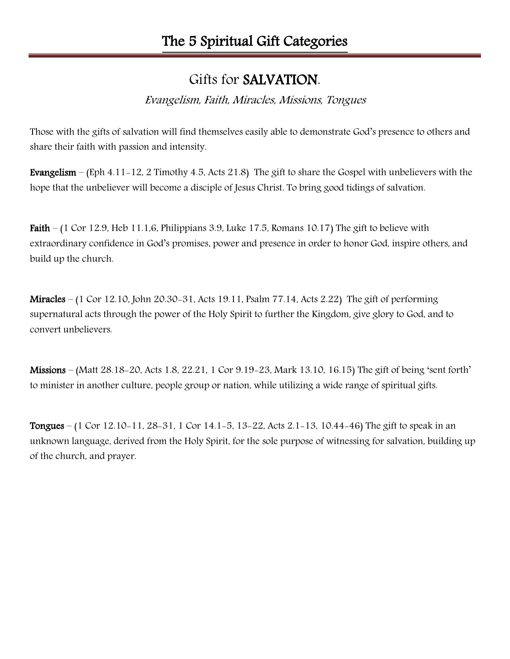## Gifts for SALVATION.

Evangelism, Faith, Miracles, Missions, Tongues

Those with the gifts of salvation will find themselves easily able to demonstrate God's presence to others and share their faith with passion and intensity.

Evangelism – (Eph 4.11-12, 2 Timothy 4.5, Acts 21.8) The gift to share the Gospel with unbelievers with the hope that the unbeliever will become a disciple of Jesus Christ. To bring good tidings of salvation.

Faith – (1 Cor 12.9, Heb 11.1,6, Philippians 3.9, Luke 17.5, Romans 10.17) The gift to believe with extraordinary confidence in God's promises, power and presence in order to honor God, inspire others, and build up the church.

Miracles – (1 Cor 12.10, John 20.30-31, Acts 19.11, Psalm 77.14, Acts 2.22) The gift of performing supernatural acts through the power of the Holy Spirit to further the Kingdom, give glory to God, and to convert unbelievers.

Missions – (Matt 28.18-20, Acts 1.8, 22.21, 1 Cor 9.19-23, Mark 13.10, 16.15) The gift of being 'sent forth' to minister in another culture, people group or nation, while utilizing a wide range of spiritual gifts.

Tongues – (1 Cor 12.10-11, 28-31, 1 Cor 14.1-5, 13-22, Acts 2.1-13, 10.44-46) The gift to speak in an unknown language, derived from the Holy Spirit, for the sole purpose of witnessing for salvation, building up of the church, and prayer.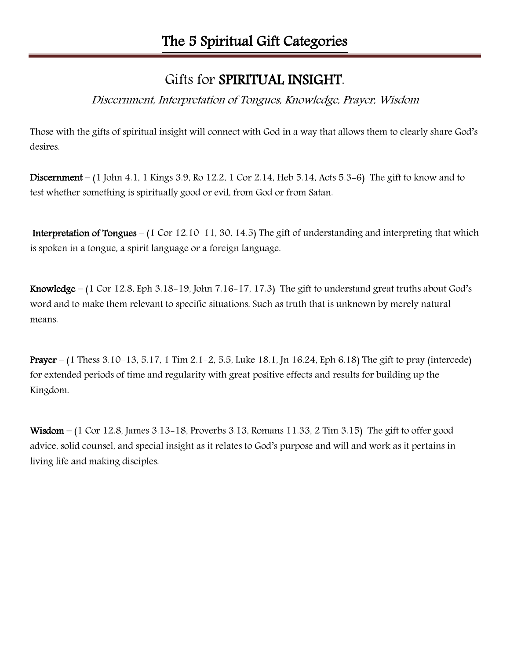## Gifts for SPIRITUAL INSIGHT.

### Discernment, Interpretation of Tongues, Knowledge, Prayer, Wisdom

Those with the gifts of spiritual insight will connect with God in a way that allows them to clearly share God's desires.

Discernment – (1 John 4.1, 1 Kings 3.9, Ro 12.2, 1 Cor 2.14, Heb 5.14, Acts 5.3-6) The gift to know and to test whether something is spiritually good or evil, from God or from Satan.

 Interpretation of Tongues – (1 Cor 12.10-11, 30, 14.5) The gift of understanding and interpreting that which is spoken in a tongue, a spirit language or a foreign language.

Knowledge – (1 Cor 12.8, Eph 3.18-19, John 7.16-17, 17.3) The gift to understand great truths about God's word and to make them relevant to specific situations. Such as truth that is unknown by merely natural means.

Prayer – (1 Thess 3.10-13, 5.17, 1 Tim 2.1-2, 5.5, Luke 18.1, Jn 16.24, Eph 6.18) The gift to pray (intercede) for extended periods of time and regularity with great positive effects and results for building up the Kingdom.

Wisdom – (1 Cor 12.8, James 3.13-18, Proverbs 3.13, Romans 11.33, 2 Tim 3.15) The gift to offer good advice, solid counsel, and special insight as it relates to God's purpose and will and work as it pertains in living life and making disciples.